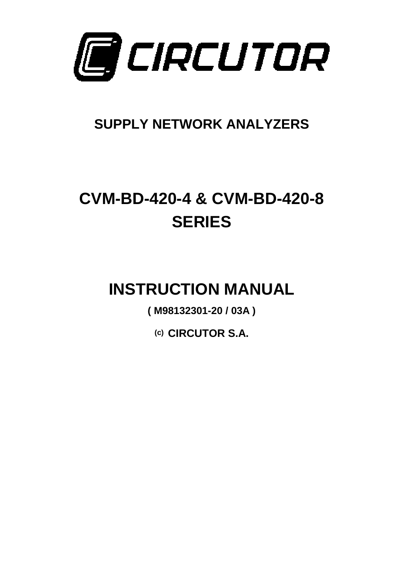

# **SUPPLY NETWORK ANALYZERS**

# **CVM-BD-420-4 & CVM-BD-420-8 SERIES**

# **INSTRUCTION MANUAL**

**( M98132301-20 / 03A )**

**(c) CIRCUTOR S.A.**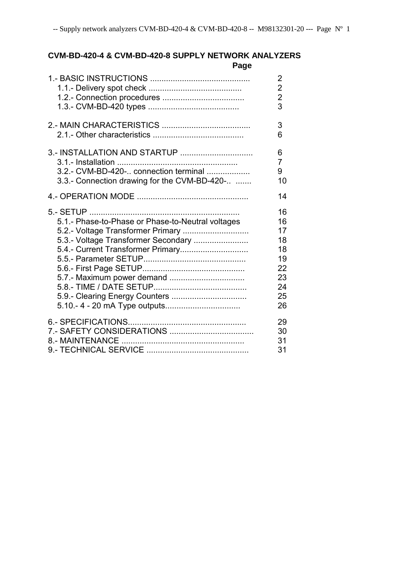# **CVM-BD-420-4 & CVM-BD-420-8 SUPPLY NETWORK ANALYZERS**

| Page |
|------|
|      |

|                                                   | $\overline{2}$ |
|---------------------------------------------------|----------------|
|                                                   | $\overline{2}$ |
|                                                   | $\overline{2}$ |
|                                                   | 3              |
|                                                   | 3              |
|                                                   | 6              |
|                                                   | 6              |
|                                                   | 7              |
| 3.2.- CVM-BD-420- connection terminal             | 9              |
| 3.3.- Connection drawing for the CVM-BD-420-      | 10             |
|                                                   | 14             |
|                                                   | 16             |
| 5.1.- Phase-to-Phase or Phase-to-Neutral voltages | 16             |
| 5.2.- Voltage Transformer Primary                 | 17             |
| 5.3.- Voltage Transformer Secondary               | 18             |
| 5.4.- Current Transformer Primary                 | 18             |
|                                                   | 19             |
|                                                   | 22             |
|                                                   | 23             |
|                                                   | 24             |
|                                                   | 25             |
|                                                   | 26             |
|                                                   | 29             |
|                                                   | 30             |
|                                                   | 31             |
|                                                   | 31             |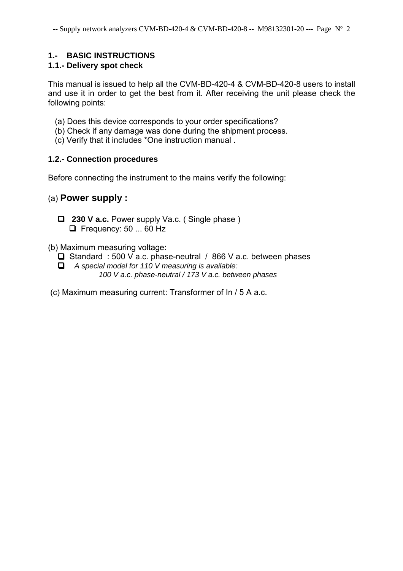# **1.- BASIC INSTRUCTIONS**

# **1.1.- Delivery spot check**

This manual is issued to help all the CVM-BD-420-4 & CVM-BD-420-8 users to install and use it in order to get the best from it. After receiving the unit please check the following points:

- (a) Does this device corresponds to your order specifications?
- (b) Check if any damage was done during the shipment process.
- (c) Verify that it includes \*One instruction manual .

# **1.2.- Connection procedures**

Before connecting the instrument to the mains verify the following:

# (a) **Power supply :**

 **230 V a.c.** Power supply Va.c. ( Single phase ) Frequency: 50 ... 60 Hz

## (b) Maximum measuring voltage:

- Standard : 500 V a.c. phase-neutral / 866 V a.c. between phases
- *A special model for 110 V measuring is available: 100 V a.c. phase-neutral / 173 V a.c. between phases*
- (c) Maximum measuring current: Transformer of In / 5 A a.c.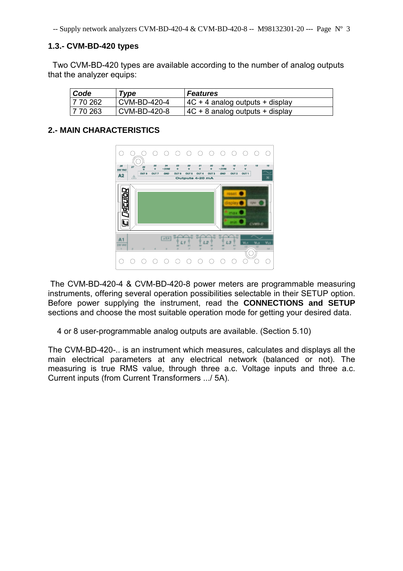## **1.3.- CVM-BD-420 types**

 Two CVM-BD-420 types are available according to the number of analog outputs that the analyzer equips:

| Code      | Type         | <b>Features</b>                         |
|-----------|--------------|-----------------------------------------|
| 17 70 262 | CVM-BD-420-4 | $\vert$ 4C + 4 analog outputs + display |
| 17 70 263 | CVM-BD-420-8 | $AC + 8$ analog outputs + display       |

#### **2.- MAIN CHARACTERISTICS**



 The CVM-BD-420-4 & CVM-BD-420-8 power meters are programmable measuring instruments, offering several operation possibilities selectable in their SETUP option. Before power supplying the instrument, read the **CONNECTIONS and SETUP**  sections and choose the most suitable operation mode for getting your desired data.

4 or 8 user-programmable analog outputs are available. (Section 5.10)

The CVM-BD-420-.. is an instrument which measures, calculates and displays all the main electrical parameters at any electrical network (balanced or not). The measuring is true RMS value, through three a.c. Voltage inputs and three a.c. Current inputs (from Current Transformers .../ 5A).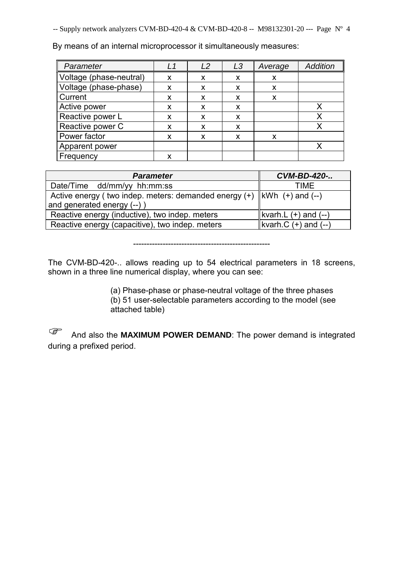-- Supply network analyzers CVM-BD-420-4 & CVM-BD-420-8 -- M98132301-20 --- Page Nº 4

By means of an internal microprocessor it simultaneously measures:

| Parameter               | I 1 | L2 | L <sub>3</sub> | Average | <b>Addition</b> |
|-------------------------|-----|----|----------------|---------|-----------------|
| Voltage (phase-neutral) | X   | X  | X              | X       |                 |
| Voltage (phase-phase)   | x   | X  | X              | X       |                 |
| Current                 | X   | X  | X              | X       |                 |
| Active power            | X   | X  | X              |         | Х               |
| Reactive power L        | x   | X  | X              |         | Х               |
| Reactive power C        | X   | X  | X              |         | Χ               |
| Power factor            | X   | X  | X              | X       |                 |
| Apparent power          |     |    |                |         | Х               |
| Frequency               | X   |    |                |         |                 |

| <b>Parameter</b>                                                              | CVM-BD-420-                      |
|-------------------------------------------------------------------------------|----------------------------------|
| Date/Time dd/mm/yy hh:mm:ss                                                   | <b>TIME</b>                      |
| Active energy (two indep. meters: demanded energy $(+)$   kWh $(+)$ and $(-)$ |                                  |
| and generated energy (--))                                                    |                                  |
| Reactive energy (inductive), two indep. meters                                | $\parallel$ kvarh.L (+) and (--) |
| Reactive energy (capacitive), two indep. meters                               | $\vert$ kvarh.C $(+)$ and $(-)$  |

---------------------------------------------------

The CVM-BD-420-.. allows reading up to 54 electrical parameters in 18 screens, shown in a three line numerical display, where you can see:

> (a) Phase-phase or phase-neutral voltage of the three phases (b) 51 user-selectable parameters according to the model (see attached table)

And also the **MAXIMUM POWER DEMAND**: The power demand is integrated during a prefixed period.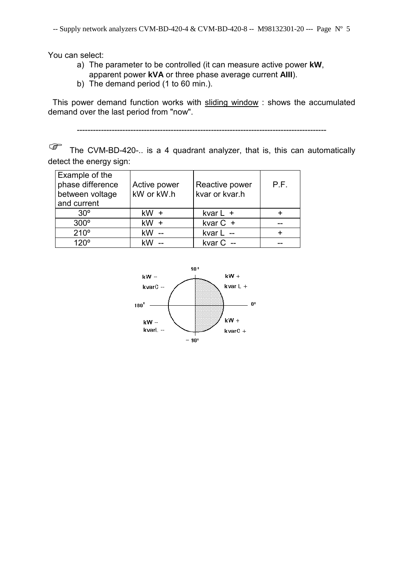You can select:

- a) The parameter to be controlled (it can measure active power **kW**, apparent power **kVA** or three phase average current **AIII**).
- b) The demand period (1 to 60 min.).

 This power demand function works with sliding window : shows the accumulated demand over the last period from "now".

---------------------------------------------------------------------------------------------

The CVM-BD-420-.. is a 4 quadrant analyzer, that is, this can automatically detect the energy sign:

| Example of the<br>phase difference<br>between voltage<br>and current | Active power<br>kW or kW.h | Reactive power<br>kvar or kvar.h | P.F. |
|----------------------------------------------------------------------|----------------------------|----------------------------------|------|
| $30^\circ$                                                           | $kW +$                     | kvar $L +$                       |      |
| $300^\circ$                                                          | $kW +$                     | kvar $C +$                       |      |
| 210°                                                                 | kW                         | kvar L --                        |      |
| $120^\circ$                                                          | kW                         | kvar C                           |      |

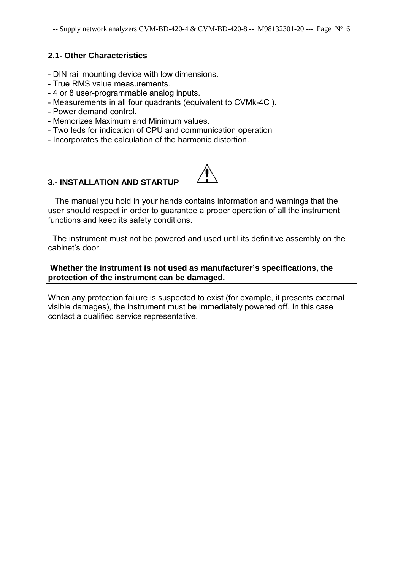# **2.1- Other Characteristics**

- DIN rail mounting device with low dimensions.
- True RMS value measurements.
- 4 or 8 user-programmable analog inputs.
- Measurements in all four quadrants (equivalent to CVMk-4C ).
- Power demand control.
- Memorizes Maximum and Minimum values.
- Two leds for indication of CPU and communication operation
- Incorporates the calculation of the harmonic distortion.

# **3.- INSTALLATION AND STARTUP**



 The instrument must not be powered and used until its definitive assembly on the cabinet's door.

 **Whether the instrument is not used as manufacturer's specifications, the protection of the instrument can be damaged.** 

When any protection failure is suspected to exist (for example, it presents external visible damages), the instrument must be immediately powered off. In this case contact a qualified service representative.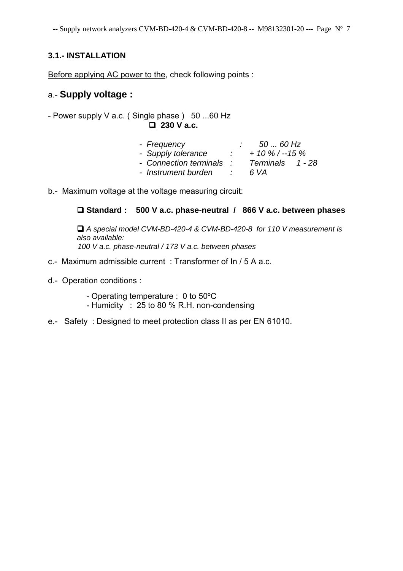-- Supply network analyzers CVM-BD-420-4 & CVM-BD-420-8 -- M98132301-20 --- Page Nº 7

# **3.1.- INSTALLATION**

Before applying AC power to the, check following points :

# a.- **Supply voltage :**

- Power supply V a.c. ( Single phase ) 50 ...60 Hz  **230 V a.c.** 

| - Frequency            | 50  60 Hz        |
|------------------------|------------------|
| - Supply tolerance     | $+10\% / -15\%$  |
| - Connection terminals | Terminals 1 - 28 |
| - Instrument burden    | 6 VA             |
|                        |                  |

b.- Maximum voltage at the voltage measuring circuit:

## **Standard : 500 V a.c. phase-neutral / 866 V a.c. between phases**

 *A special model CVM-BD-420-4 & CVM-BD-420-8 for 110 V measurement is also available: 100 V a.c. phase-neutral / 173 V a.c. between phases* 

- c.- Maximum admissible current : Transformer of In / 5 A a.c.
- d.- Operation conditions :
	- Operating temperature : 0 to 50ºC
	- Humidity : 25 to 80 % R.H. non-condensing
- e.- Safety : Designed to meet protection class II as per EN 61010.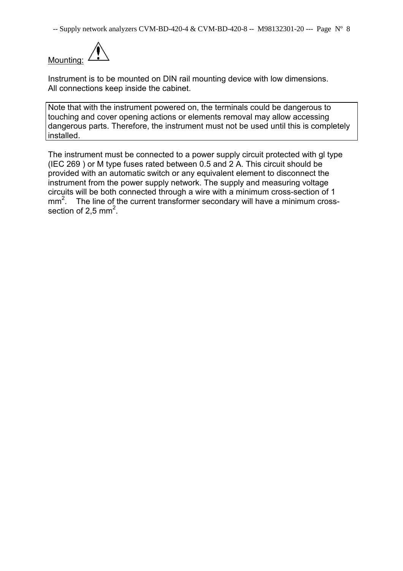-- Supply network analyzers CVM-BD-420-4 & CVM-BD-420-8 -- M98132301-20 --- Page Nº 8



Instrument is to be mounted on DIN rail mounting device with low dimensions. All connections keep inside the cabinet.

Note that with the instrument powered on, the terminals could be dangerous to touching and cover opening actions or elements removal may allow accessing dangerous parts. Therefore, the instrument must not be used until this is completely installed.

The instrument must be connected to a power supply circuit protected with gl type (IEC 269 ) or M type fuses rated between 0.5 and 2 A. This circuit should be provided with an automatic switch or any equivalent element to disconnect the instrument from the power supply network. The supply and measuring voltage circuits will be both connected through a wire with a minimum cross-section of 1  $mm<sup>2</sup>$ . The line of the current transformer secondary will have a minimum crosssection of 2,5 mm<sup>2</sup>.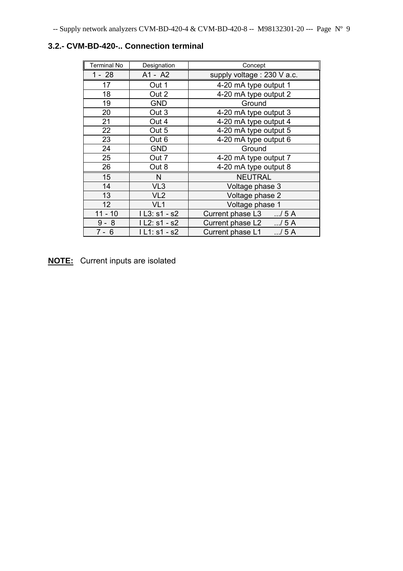| <b>Terminal No</b> | Designation     | Concept                     |
|--------------------|-----------------|-----------------------------|
| $1 - 28$           | $A1 - A2$       | supply voltage : 230 V a.c. |
| 17                 | Out 1           | 4-20 mA type output 1       |
| 18                 | Out 2           | 4-20 mA type output 2       |
| 19                 | <b>GND</b>      | Ground                      |
| 20                 | Out 3           | 4-20 mA type output 3       |
| 21                 | Out 4           | 4-20 mA type output 4       |
| 22                 | Out 5           | 4-20 mA type output 5       |
| 23                 | Out 6           | 4-20 mA type output 6       |
| 24                 | <b>GND</b>      | Ground                      |
| 25                 | Out 7           | 4-20 mA type output 7       |
| 26                 | Out 8           | 4-20 mA type output 8       |
| 15                 | N               | <b>NEUTRAL</b>              |
| 14                 | VL <sub>3</sub> | Voltage phase 3             |
| 13                 | VL <sub>2</sub> | Voltage phase 2             |
| 12                 | VL <sub>1</sub> | Voltage phase 1             |
| $11 - 10$          | $1L3: s1 - s2$  | Current phase L3 / 5 A      |
| $9 - 8$            | $1L2: s1 - s2$  | Current phase L2 / 5 A      |
| 7 - 6              | IL1: s1 - s2    | Current phase L1<br>/5A     |

### **3.2.- CVM-BD-420-.. Connection terminal**

**NOTE:** Current inputs are isolated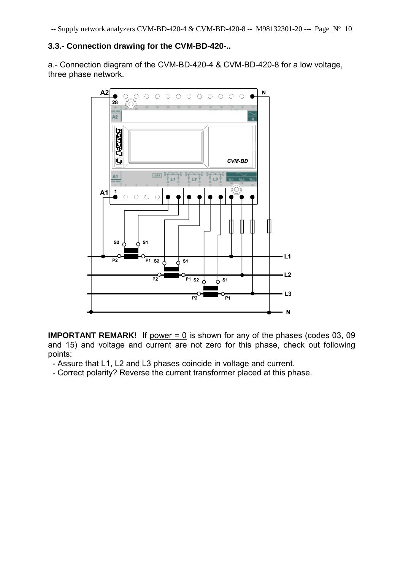-- Supply network analyzers CVM-BD-420-4 & CVM-BD-420-8 -- M98132301-20 --- Page N° 10

# **3.3.- Connection drawing for the CVM-BD-420-..**

a.- Connection diagram of the CVM-BD-420-4 & CVM-BD-420-8 for a low voltage, three phase network.



**IMPORTANT REMARK!** If power = 0 is shown for any of the phases (codes 03, 09) and 15) and voltage and current are not zero for this phase, check out following points:

- Assure that L1, L2 and L3 phases coincide in voltage and current.
- Correct polarity? Reverse the current transformer placed at this phase.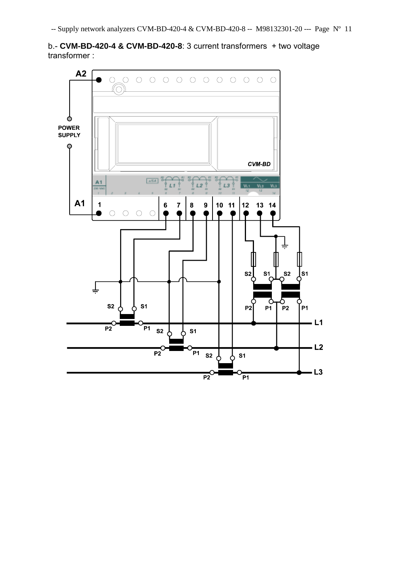b.- **CVM-BD-420-4 & CVM-BD-420-8**: 3 current transformers + two voltage transformer :

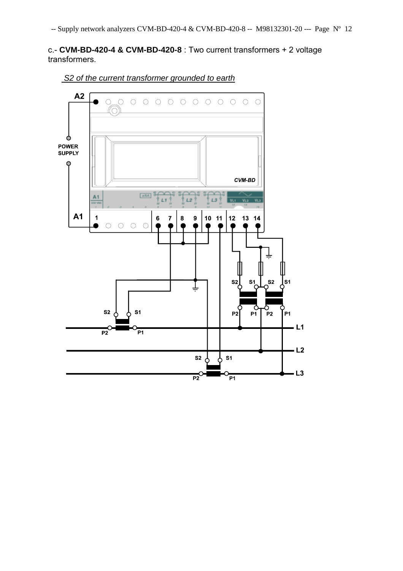c.- **CVM-BD-420-4 & CVM-BD-420-8** : Two current transformers + 2 voltage transformers.



 *S2 of the current transformer grounded to earth*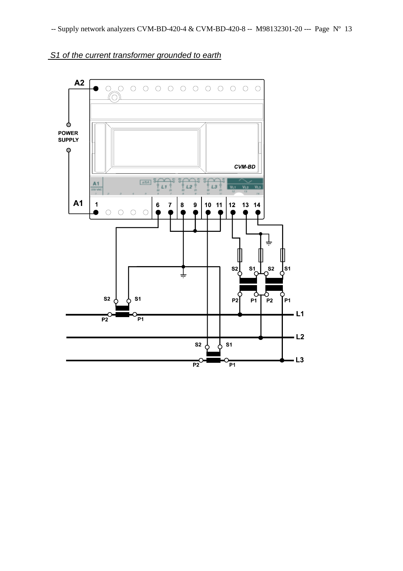*S1 of the current transformer grounded to earth* 

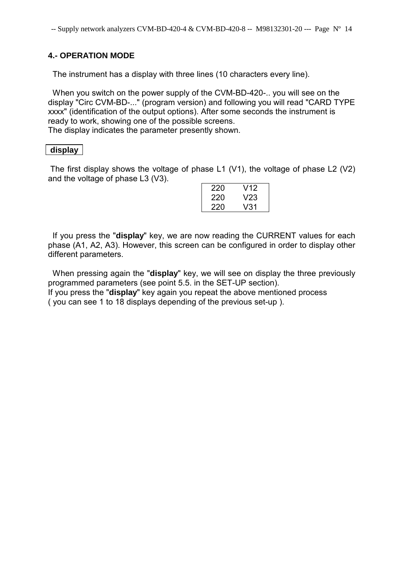-- Supply network analyzers CVM-BD-420-4 & CVM-BD-420-8 -- M98132301-20 --- Page N° 14

# **4.- OPERATION MODE**

The instrument has a display with three lines (10 characters every line).

When you switch on the power supply of the CVM-BD-420-.. you will see on the display "Circ CVM-BD-..." (program version) and following you will read "CARD TYPE xxxx" (identification of the output options). After some seconds the instrument is ready to work, showing one of the possible screens.

The display indicates the parameter presently shown.

#### **display**

 The first display shows the voltage of phase L1 (V1), the voltage of phase L2 (V2) and the voltage of phase L3 (V3).

| 220 | V12 |
|-----|-----|
| 220 | V23 |
| 220 | V31 |

 If you press the "**display**" key, we are now reading the CURRENT values for each phase (A1, A2, A3). However, this screen can be configured in order to display other different parameters.

 When pressing again the "**display**" key, we will see on display the three previously programmed parameters (see point 5.5. in the SET-UP section).

If you press the "**display**" key again you repeat the above mentioned process ( you can see 1 to 18 displays depending of the previous set-up ).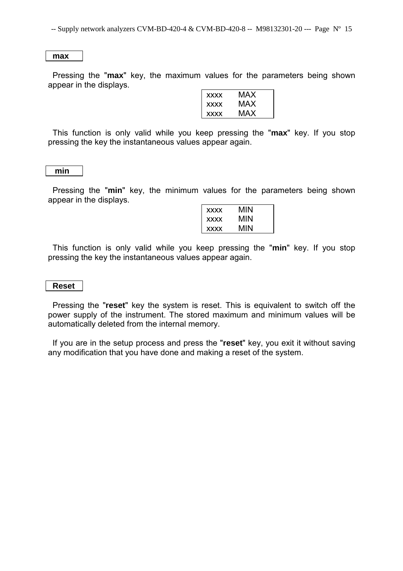-- Supply network analyzers CVM-BD-420-4 & CVM-BD-420-8 -- M98132301-20 --- Page N° 15

#### **max**

 Pressing the "**max**" key, the maximum values for the parameters being shown appear in the displays.

| <b>XXXX</b> | MAX |
|-------------|-----|
| <b>XXXX</b> | MAX |
| <b>XXXX</b> | MAX |

 This function is only valid while you keep pressing the "**max**" key. If you stop pressing the key the instantaneous values appear again.

 **min**

 Pressing the "**min**" key, the minimum values for the parameters being shown appear in the displays.

| <b>XXXX</b> | MIN |
|-------------|-----|
| <b>XXXX</b> | MIN |
| <b>XXXX</b> | MIN |

 This function is only valid while you keep pressing the "**min**" key. If you stop pressing the key the instantaneous values appear again.

#### **Reset**

 Pressing the "**reset**" key the system is reset. This is equivalent to switch off the power supply of the instrument. The stored maximum and minimum values will be automatically deleted from the internal memory.

 If you are in the setup process and press the "**reset**" key, you exit it without saving any modification that you have done and making a reset of the system.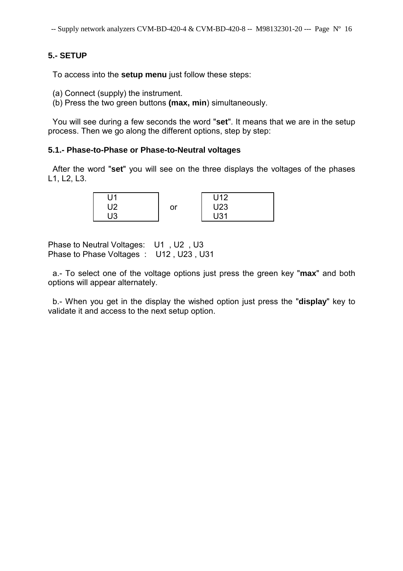# **5.- SETUP**

To access into the **setup menu** just follow these steps:

- (a) Connect (supply) the instrument.
- (b) Press the two green buttons **(max, min**) simultaneously.

 You will see during a few seconds the word "**set**". It means that we are in the setup process. Then we go along the different options, step by step:

#### **5.1.- Phase-to-Phase or Phase-to-Neutral voltages**

 After the word "**set**" you will see on the three displays the voltages of the phases L1, L2, L3.

| U <sub>1</sub> |    | J12 |
|----------------|----|-----|
| U2             | or | J23 |
| U3             |    | J31 |

Phase to Neutral Voltages: U1 , U2 , U3 Phase to Phase Voltages : U12 , U23 , U31

 a.- To select one of the voltage options just press the green key "**max**" and both options will appear alternately.

 b.- When you get in the display the wished option just press the "**display**" key to validate it and access to the next setup option.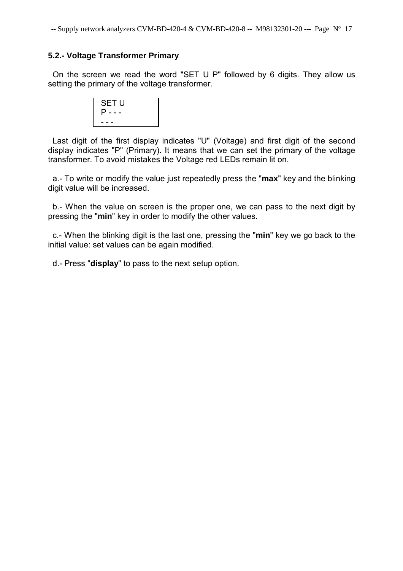# **5.2.- Voltage Transformer Primary**

 On the screen we read the word "SET U P" followed by 6 digits. They allow us setting the primary of the voltage transformer.



 Last digit of the first display indicates "U" (Voltage) and first digit of the second display indicates "P" (Primary). It means that we can set the primary of the voltage transformer. To avoid mistakes the Voltage red LEDs remain lit on.

 a.- To write or modify the value just repeatedly press the "**max**" key and the blinking digit value will be increased.

 b.- When the value on screen is the proper one, we can pass to the next digit by pressing the "**min**" key in order to modify the other values.

 c.- When the blinking digit is the last one, pressing the "**min**" key we go back to the initial value: set values can be again modified.

d.- Press "**display**" to pass to the next setup option.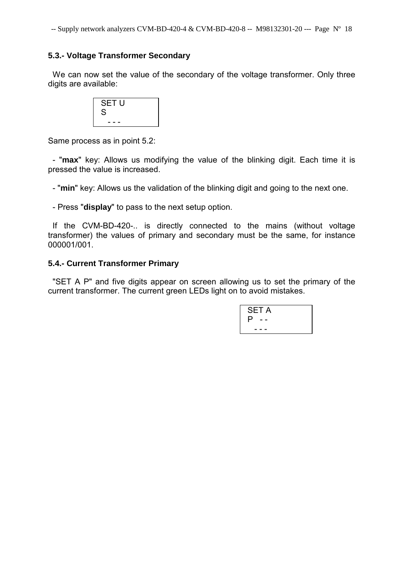# **5.3.- Voltage Transformer Secondary**

 We can now set the value of the secondary of the voltage transformer. Only three digits are available:



Same process as in point 5.2:

 - "**max**" key: Allows us modifying the value of the blinking digit. Each time it is pressed the value is increased.

- "**min**" key: Allows us the validation of the blinking digit and going to the next one.

- Press "**display**" to pass to the next setup option.

 If the CVM-BD-420-.. is directly connected to the mains (without voltage transformer) the values of primary and secondary must be the same, for instance 000001/001.

## **5.4.- Current Transformer Primary**

 "SET A P" and five digits appear on screen allowing us to set the primary of the current transformer. The current green LEDs light on to avoid mistakes.

| <b>SET A</b> |
|--------------|
| P            |
|              |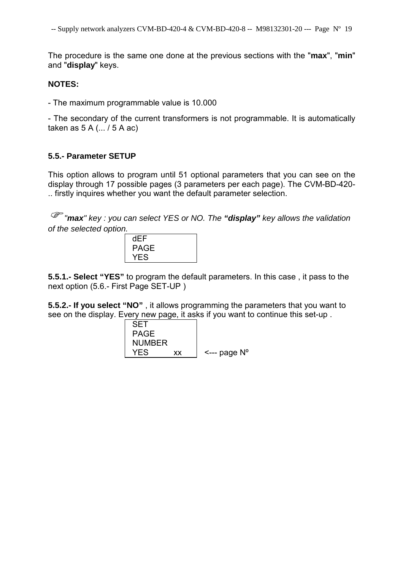The procedure is the same one done at the previous sections with the "**max**", "**min**" and "**display**" keys.

#### **NOTES:**

- The maximum programmable value is 10.000

- The secondary of the current transformers is not programmable. It is automatically taken as 5 A (... / 5 A ac)

# **5.5.- Parameter SETUP**

This option allows to program until 51 optional parameters that you can see on the display through 17 possible pages (3 parameters per each page). The CVM-BD-420- .. firstly inquires whether you want the default parameter selection.

 *"max" key : you can select YES or NO. The "display" key allows the validation of the selected option.* 

| dEF         |  |
|-------------|--|
| <b>PAGE</b> |  |
| YES         |  |
|             |  |

**5.5.1.- Select "YES"** to program the default parameters. In this case , it pass to the next option (5.6.- First Page SET-UP )

**5.5.2.- If you select "NO"** , it allows programming the parameters that you want to see on the display. Every new page, it asks if you want to continue this set-up .

| <b>SFT</b>    |     |                                  |
|---------------|-----|----------------------------------|
| <b>PAGE</b>   |     |                                  |
| <b>NUMBER</b> |     |                                  |
| <b>YFS</b>    | XX. | $\leftarrow$ -- page $N^{\circ}$ |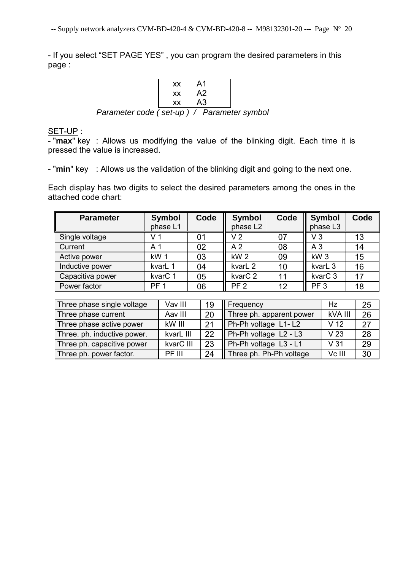- If you select "SET PAGE YES" , you can program the desired parameters in this page :

|                                            | <b>XX</b> | Α1 |  |
|--------------------------------------------|-----------|----|--|
|                                            | <b>XX</b> | A2 |  |
|                                            | <b>XX</b> | A3 |  |
| Parameter code (set-up) / Parameter symbol |           |    |  |

SET-UP:

- "**max**" key : Allows us modifying the value of the blinking digit. Each time it is pressed the value is increased.

- "**min**" key : Allows us the validation of the blinking digit and going to the next one.

Each display has two digits to select the desired parameters among the ones in the attached code chart:

| <b>Parameter</b> | <b>Symbol</b><br>phase L1 | Code | <b>Symbol</b><br>phase L2 | Code | <b>Symbol</b><br>phase L3 | Code |
|------------------|---------------------------|------|---------------------------|------|---------------------------|------|
| Single voltage   | V <sub>1</sub>            | 01   | V <sub>2</sub>            | 07   | V <sub>3</sub>            | 13   |
| Current          | A 1                       | 02   | A <sub>2</sub>            | 08   | A <sub>3</sub>            | 14   |
| Active power     | kW <sub>1</sub>           | 03   | kW <sub>2</sub>           | 09   | kW <sub>3</sub>           | 15   |
| Inductive power  | kvarL 1                   | 04   | kvarL 2                   | 10   | kvarL <sub>3</sub>        | 16   |
| Capacitiva power | kvar <sub>C</sub> 1       | 05   | kvar <sub>C</sub> 2       | 11   | kvar <sub>C</sub> 3       | 17   |
| Power factor     | PF <sub>1</sub>           | 06   | PF <sub>2</sub>           | 12   | PF <sub>3</sub>           | 18   |

| Three phase single voltage  | Vav III   | 19 | Frequency                | Hz              | 25 |
|-----------------------------|-----------|----|--------------------------|-----------------|----|
| Three phase current         | Aav III   | 20 | Three ph. apparent power | kVA III         | 26 |
| Three phase active power    | kW III    | 21 | Ph-Ph voltage L1-L2      | V <sub>12</sub> | 27 |
| Three. ph. inductive power. | kvarL III | 22 | Ph-Ph voltage L2 - L3    | V <sub>23</sub> | 28 |
| Three ph. capacitive power  | kvarC III | 23 | Ph-Ph voltage L3 - L1    | V <sub>31</sub> | 29 |
| Three ph. power factor.     | PF III    | 24 | Three ph. Ph-Ph voltage  | Vc III          | 30 |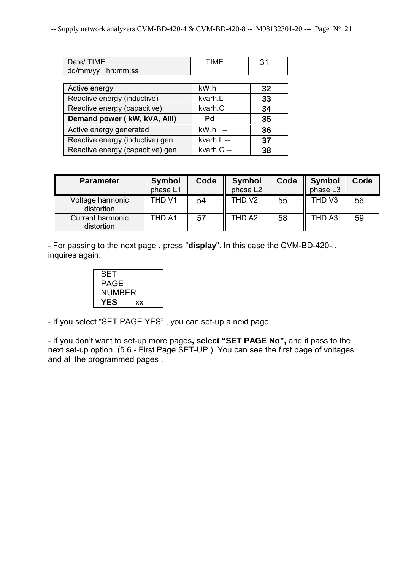| Date/TIME<br>dd/mm/yy hh:mm:ss    | <b>TIME</b> | 31 |
|-----------------------------------|-------------|----|
|                                   |             |    |
| Active energy                     | kW.h        | 32 |
| Reactive energy (inductive)       | kvarh.L     | 33 |
| Reactive energy (capacitive)      | kvarh.C     | 34 |
| Demand power ( kW, kVA, AIII)     | Pd          | 35 |
| Active energy generated           | kW h        | 36 |
| Reactive energy (inductive) gen.  | kvarh.L --  | 37 |
| Reactive energy (capacitive) gen. | kvarh.C --  | 38 |

| <b>Parameter</b>                      | <b>Symbol</b><br>phase L1 | Code | <b>Symbol</b><br>phase L2 | Code | <b>Symbol</b><br>phase L3 | Code |
|---------------------------------------|---------------------------|------|---------------------------|------|---------------------------|------|
| Voltage harmonic<br>distortion        | THD V1                    | 54   | THD <sub>V2</sub>         | 55   | THD V3                    | 56   |
| <b>Current harmonic</b><br>distortion | THD A1                    | 57   | THD A2                    | 58   | THD A3                    | 59   |

- For passing to the next page , press "**display**". In this case the CVM-BD-420-.. inquires again:

| SET         |    |  |
|-------------|----|--|
| <b>PAGE</b> |    |  |
| NUMBER      |    |  |
| YES         | xх |  |
|             |    |  |

- If you select "SET PAGE YES" , you can set-up a next page.

- If you don't want to set-up more pages**, select "SET PAGE No",** and it pass to the next set-up option (5.6.- First Page SET-UP ). You can see the first page of voltages and all the programmed pages .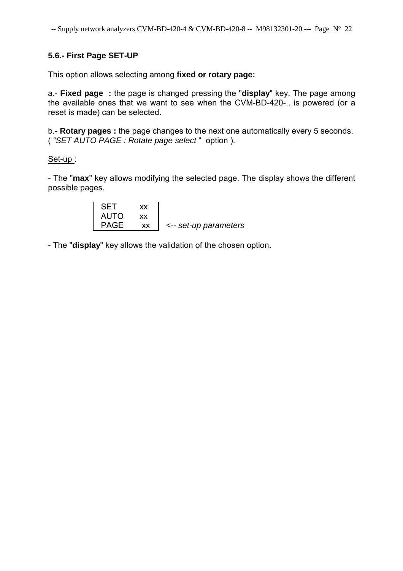# **5.6.- First Page SET-UP**

This option allows selecting among **fixed or rotary page:** 

a.- **Fixed page :** the page is changed pressing the "**display**" key. The page among the available ones that we want to see when the CVM-BD-420-.. is powered (or a reset is made) can be selected.

b.- **Rotary pages :** the page changes to the next one automatically every 5 seconds. ( *"SET AUTO PAGE : Rotate page select* " option ).

Set-up :

- The "**max**" key allows modifying the selected page. The display shows the different possible pages.

| <b>SET</b>  | XХ |                       |
|-------------|----|-----------------------|
| <b>AUTO</b> | xх |                       |
| <b>PAGE</b> | XX | <-- set-up parameters |

- The "**display**" key allows the validation of the chosen option.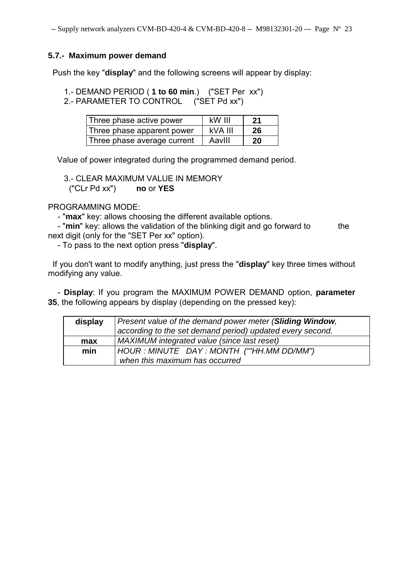# **5.7.- Maximum power demand**

Push the key "**display**" and the following screens will appear by display:

1.- DEMAND PERIOD ( **1 to 60 min**.) ("SET Per xx")

2.- PARAMETER TO CONTROL ("SET Pd xx")

| Three phase active power    | kW III  | -21 |
|-----------------------------|---------|-----|
| Three phase apparent power  | kVA III | 26  |
| Three phase average current | Aavill  | 20  |

Value of power integrated during the programmed demand period.

 3.- CLEAR MAXIMUM VALUE IN MEMORY ("CLr Pd xx") **no** or **YES**

## PROGRAMMING MODE:

- "**max**" key: allows choosing the different available options.

- "min" key: allows the validation of the blinking digit and go forward to the next digit (only for the "SET Per xx" option).

- To pass to the next option press "**display**".

 If you don't want to modify anything, just press the "**display**" key three times without modifying any value.

 - **Display**: If you program the MAXIMUM POWER DEMAND option, **parameter 35**, the following appears by display (depending on the pressed key):

| display | Present value of the demand power meter (Sliding Window,  |
|---------|-----------------------------------------------------------|
|         | according to the set demand period) updated every second. |
| max     | MAXIMUM integrated value (since last reset)               |
| min     | HOUR: MINUTE DAY: MONTH (""HH.MM DD/MM")                  |
|         | when this maximum has occurred                            |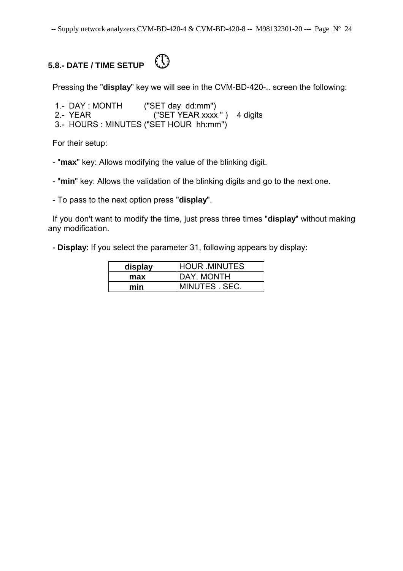# **5.8.- DATE / TIME SETUP**

Pressing the "**display**" key we will see in the CVM-BD-420-.. screen the following:

 1.- DAY : MONTH ("SET day dd:mm") 2.- YEAR ("SET YEAR xxxx " ) 4 digits 3.- HOURS : MINUTES ("SET HOUR hh:mm")

For their setup:

- "**max**" key: Allows modifying the value of the blinking digit.

- "**min**" key: Allows the validation of the blinking digits and go to the next one.

- To pass to the next option press "**display**".

 If you don't want to modify the time, just press three times "**display**" without making any modification.

- **Display**: If you select the parameter 31, following appears by display:

| display | <b>HOUR MINUTES</b> |
|---------|---------------------|
| max     | DAY, MONTH          |
| min     | MINUTES SEC.        |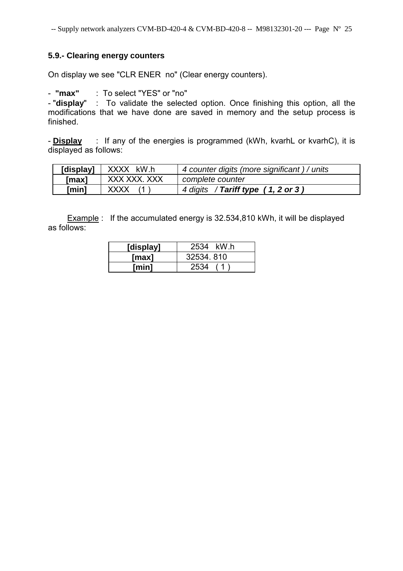# **5.9.- Clearing energy counters**

On display we see "CLR ENER no" (Clear energy counters).

- **"max"** : To select "YES" or "no"

- "**display**" : To validate the selected option. Once finishing this option, all the modifications that we have done are saved in memory and the setup process is finished.

- **Display** : If any of the energies is programmed (kWh, kvarhL or kvarhC), it is displayed as follows:

| [display] | XXXX kW.h    | 4 counter digits (more significant) / units |
|-----------|--------------|---------------------------------------------|
| [max]     | XXX XXX. XXX | complete counter                            |
| [min]     | <b>XXXX</b>  | 4 digits / Tariff type (1, 2 or 3)          |

 Example : If the accumulated energy is 32.534,810 kWh, it will be displayed as follows:

| [display] | 2534 kW.h  |
|-----------|------------|
| [max]     | 32534, 810 |
| [min]     | 2534       |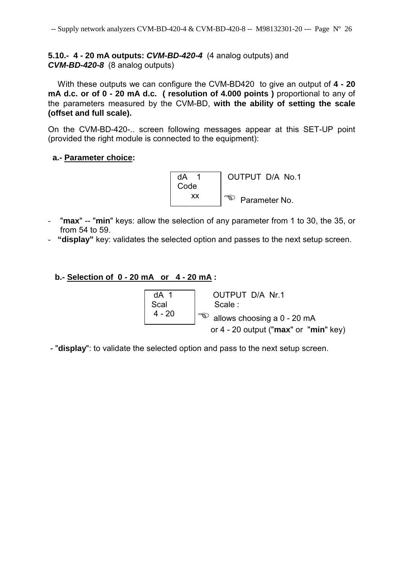#### **5.10.- 4 - 20 mA outputs:** *CVM-BD-420-4* (4 analog outputs) and *CVM-BD-420-8* (8 analog outputs)

With these outputs we can configure the CVM-BD420 to give an output of **4 - 20 mA d.c. or of 0 - 20 mA d.c. ( resolution of 4.000 points )** proportional to any of the parameters measured by the CVM-BD, **with the ability of setting the scale (offset and full scale).** 

On the CVM-BD-420-.. screen following messages appear at this SET-UP point (provided the right module is connected to the equipment):

#### **a.- Parameter choice:**

 dA 1 OUTPUT D/A No.1 Code  $\overline{\mathbf{z}}$  Parameter No.

- "**max**" -- "**min**" keys: allow the selection of any parameter from 1 to 30, the 35, or from 54 to 59.
- **"display"** key: validates the selected option and passes to the next setup screen.

#### **b.- Selection of 0 - 20 mA or 4 - 20 mA :**

 dA 1 OUTPUT D/A Nr.1 Scal | Scale : 4 - 20  $\int \widehat{\mathbb{Q}}$  allows choosing a 0 - 20 mA or 4 - 20 output ("**max**" or "**min**" key)

- "**display**": to validate the selected option and pass to the next setup screen.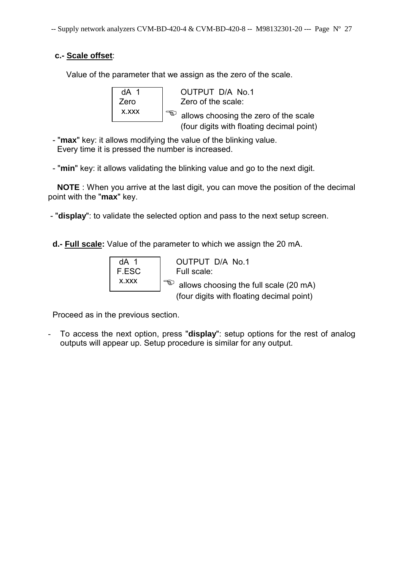# **c.- Scale offset**:

Value of the parameter that we assign as the zero of the scale.

| dA 1  |  |
|-------|--|
| Zero  |  |
| x xxx |  |
|       |  |

OUTPUT D/A No.1 Zero of the scale:  $\widehat{\mathbb{R}}$  allows choosing the zero of the scale (four digits with floating decimal point)

 - "**max**" key: it allows modifying the value of the blinking value. Every time it is pressed the number is increased.

- "**min**" key: it allows validating the blinking value and go to the next digit.

 **NOTE** : When you arrive at the last digit, you can move the position of the decimal point with the "**max**" key.

- "**display**": to validate the selected option and pass to the next setup screen.

**d.- Full scale:** Value of the parameter to which we assign the 20 mA.

| dA 1<br>F.ESC | OUTPUT D/A No.1<br>Full scale:            |
|---------------|-------------------------------------------|
| X.XXX         | allows choosing the full scale (20 mA)    |
|               | (four digits with floating decimal point) |

Proceed as in the previous section.

- To access the next option, press "**display**": setup options for the rest of analog outputs will appear up. Setup procedure is similar for any output.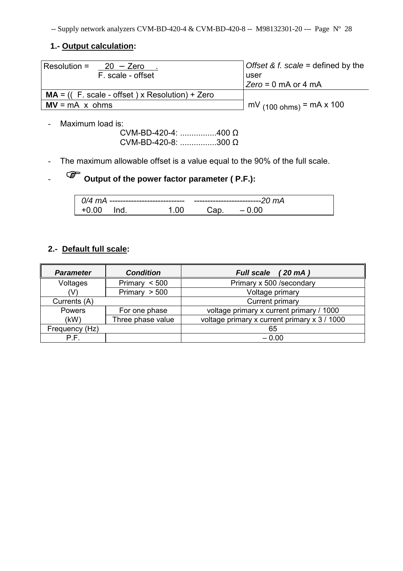-- Supply network analyzers CVM-BD-420-4 & CVM-BD-420-8 -- M98132301-20 --- Page Nº 28

# **1.- Output calculation:**

| $\sf Resolution$ =<br>$20 - Zero$                     | Offset & f. scale = defined by the |
|-------------------------------------------------------|------------------------------------|
| F. scale - offset                                     | user                               |
|                                                       | $Zero = 0$ mA or 4 mA              |
| $MA = ((F. scale - offset) \times Resolution) + Zero$ |                                    |
| $MV = mA \times ohms$                                 | $mV_{(100 ohms)} = mA \times 100$  |

- Maximum load is:

| CVM-BD-420-4: 400 Ω |  |
|---------------------|--|
| CVM-BD-420-8: 300 Ω |  |

- The maximum allowable offset is a value equal to the 90% of the full scale.

# -  **Output of the power factor parameter ( P.F.):**

| $1/4$ m/ | ----------------------------- | $\cdot$ m<br>--------------------------- / |  |
|----------|-------------------------------|--------------------------------------------|--|
| . .      |                               | — 1                                        |  |

# **2.- Default full scale:**

| <b>Parameter</b> | <b>Condition</b>  | Full scale (20 mA)                           |
|------------------|-------------------|----------------------------------------------|
| Voltages         | Primary $< 500$   | Primary x 500 /secondary                     |
| (V)              | Primary $> 500$   | Voltage primary                              |
| Currents (A)     |                   | Current primary                              |
| <b>Powers</b>    | For one phase     | voltage primary x current primary / 1000     |
| (kW)             | Three phase value | voltage primary x current primary x 3 / 1000 |
| Frequency (Hz)   |                   | 65                                           |
| P.F.             |                   | $-0.00$                                      |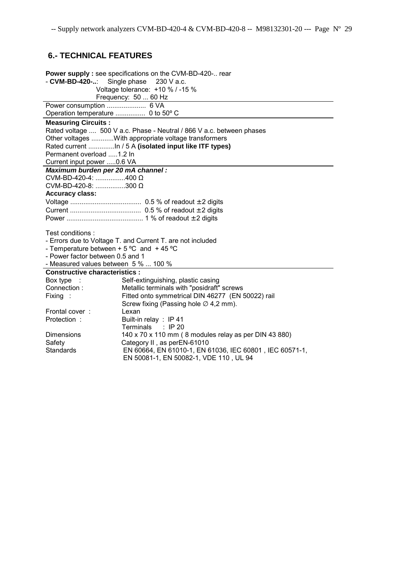# **6.- TECHNICAL FEATURES**

|                                                                          | Power supply : see specifications on the CVM-BD-420- rear                                                |  |  |  |
|--------------------------------------------------------------------------|----------------------------------------------------------------------------------------------------------|--|--|--|
| - CVM-BD-420-<br>Single phase<br>230 V a.c.                              |                                                                                                          |  |  |  |
| Voltage tolerance: +10 % / -15 %                                         |                                                                                                          |  |  |  |
|                                                                          | Frequency: 50  60 Hz                                                                                     |  |  |  |
|                                                                          |                                                                                                          |  |  |  |
| Operation temperature  0 to 50° C                                        |                                                                                                          |  |  |  |
| <b>Measuring Circuits:</b>                                               |                                                                                                          |  |  |  |
|                                                                          | Rated voltage  500 V a.c. Phase - Neutral / 866 V a.c. between phases                                    |  |  |  |
|                                                                          | Other voltages With appropriate voltage transformers                                                     |  |  |  |
|                                                                          |                                                                                                          |  |  |  |
| Permanent overload 1.2 In                                                |                                                                                                          |  |  |  |
| Current input power 0.6 VA                                               |                                                                                                          |  |  |  |
| Maximum burden per 20 mA channel :                                       |                                                                                                          |  |  |  |
| CVM-BD-420-4: 400 Ω                                                      |                                                                                                          |  |  |  |
| CVM-BD-420-8: 300 Ω                                                      |                                                                                                          |  |  |  |
| <b>Accuracy class:</b>                                                   |                                                                                                          |  |  |  |
|                                                                          |                                                                                                          |  |  |  |
|                                                                          |                                                                                                          |  |  |  |
|                                                                          |                                                                                                          |  |  |  |
|                                                                          |                                                                                                          |  |  |  |
| Test conditions:                                                         |                                                                                                          |  |  |  |
|                                                                          | - Errors due to Voltage T. and Current T. are not included<br>- Temperature between $+5$ °C and $+45$ °C |  |  |  |
|                                                                          |                                                                                                          |  |  |  |
| - Power factor between 0.5 and 1<br>- Measured values between 5 %  100 % |                                                                                                          |  |  |  |
|                                                                          |                                                                                                          |  |  |  |
| <b>Constructive characteristics:</b>                                     |                                                                                                          |  |  |  |
| Box type<br>Connection:                                                  | Self-extinguishing, plastic casing                                                                       |  |  |  |
|                                                                          | Metallic terminals with "posidraft" screws                                                               |  |  |  |
| Fixing :                                                                 | Fitted onto symmetrical DIN 46277 (EN 50022) rail                                                        |  |  |  |
| Frontal cover:                                                           | Screw fixing (Passing hole $\varnothing$ 4,2 mm).<br>Lexan                                               |  |  |  |
| Protection:                                                              |                                                                                                          |  |  |  |
|                                                                          | Built-in relay : IP 41<br>Terminals : IP 20                                                              |  |  |  |
| <b>Dimensions</b>                                                        | 140 x 70 x 110 mm (8 modules relay as per DIN 43 880)                                                    |  |  |  |
| Safety                                                                   | Category II, as perEN-61010                                                                              |  |  |  |
| <b>Standards</b>                                                         | EN 60664, EN 61010-1, EN 61036, IEC 60801, IEC 60571-1,                                                  |  |  |  |
|                                                                          | EN 50081-1, EN 50082-1, VDE 110, UL 94                                                                   |  |  |  |
|                                                                          |                                                                                                          |  |  |  |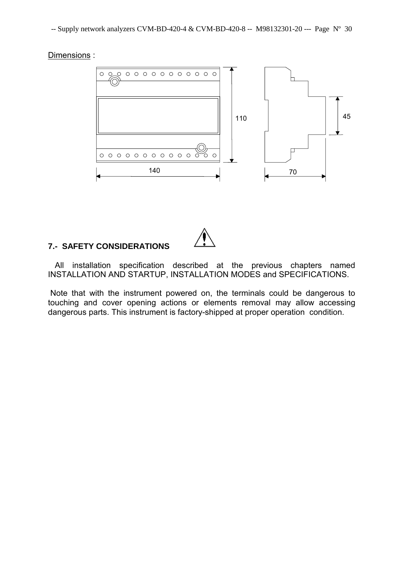Dimensions :



## **7.- SAFETY CONSIDERATIONS**



 All installation specification described at the previous chapters named INSTALLATION AND STARTUP, INSTALLATION MODES and SPECIFICATIONS.

 Note that with the instrument powered on, the terminals could be dangerous to touching and cover opening actions or elements removal may allow accessing dangerous parts. This instrument is factory-shipped at proper operation condition.